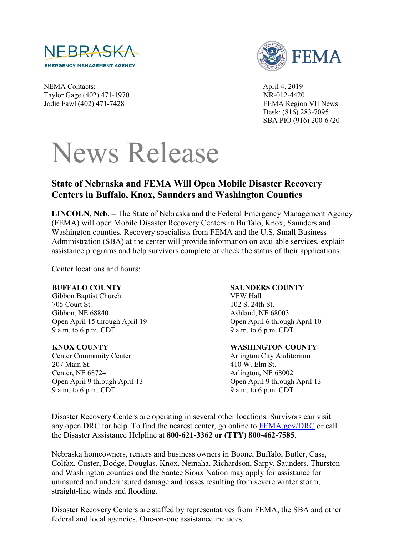



NEMA Contacts: April 4, 2019 Taylor Gage (402) 471-1970 NR-012-4420 Jodie Fawl (402) 471-7428 FEMA Region VII News

Desk: (816) 283-7095 SBA PIO (916) 200-6720

# News Release

## **State of Nebraska and FEMA Will Open Mobile Disaster Recovery Centers in Buffalo, Knox, Saunders and Washington Counties**

**LINCOLN, Neb. –** The State of Nebraska and the Federal Emergency Management Agency (FEMA) will open Mobile Disaster Recovery Centers in Buffalo, Knox, Saunders and Washington counties. Recovery specialists from FEMA and the U.S. Small Business Administration (SBA) at the center will provide information on available services, explain assistance programs and help survivors complete or check the status of their applications.

Center locations and hours:

#### **BUFFALO COUNTY**

Gibbon Baptist Church 705 Court St. Gibbon, NE 68840 Open April 15 through April 19 9 a.m. to 6 p.m. CDT

#### **KNOX COUNTY**

Center Community Center 207 Main St. Center, NE 68724 Open April 9 through April 13 9 a.m. to 6 p.m. CDT

## **SAUNDERS COUNTY**

VFW Hall 102 S. 24th St. Ashland, NE 68003 Open April 6 through April 10 9 a.m. to 6 p.m. CDT

## **WASHINGTON COUNTY**

Arlington City Auditorium 410 W. Elm St. Arlington, NE 68002 Open April 9 through April 13 9 a.m. to 6 p.m. CDT

Disaster Recovery Centers are operating in several other locations. Survivors can visit any open DRC for help. To find the nearest center, go online to **FEMA**.gov/DRC or call the Disaster Assistance Helpline at **800-621-3362 or (TTY) 800-462-7585**.

Nebraska homeowners, renters and business owners in Boone, Buffalo, Butler, Cass, Colfax, Custer, Dodge, Douglas, Knox, Nemaha, Richardson, Sarpy, Saunders, Thurston and Washington counties and the Santee Sioux Nation may apply for assistance for uninsured and underinsured damage and losses resulting from severe winter storm, straight-line winds and flooding.

Disaster Recovery Centers are staffed by representatives from FEMA, the SBA and other federal and local agencies. One-on-one assistance includes: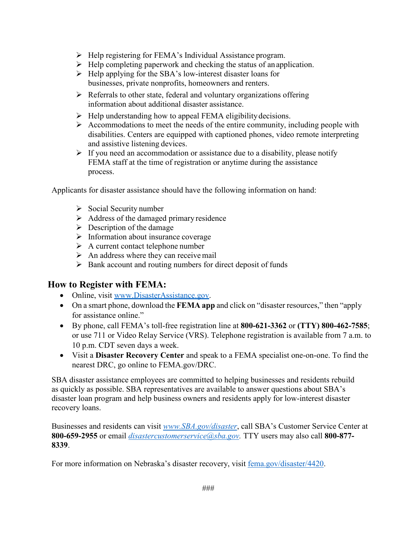- $\triangleright$  Help registering for FEMA's Individual Assistance program.
- $\triangleright$  Help completing paperwork and checking the status of an application.
- $\triangleright$  Help applying for the SBA's low-interest disaster loans for businesses, private nonprofits, homeowners and renters.
- $\triangleright$  Referrals to other state, federal and voluntary organizations offering information about additional disaster assistance.
- $\triangleright$  Help understanding how to appeal FEMA eligibility decisions.
- $\triangleright$  Accommodations to meet the needs of the entire community, including people with disabilities. Centers are equipped with captioned phones, video remote interpreting and assistive listening devices.
- $\triangleright$  If you need an accommodation or assistance due to a disability, please notify FEMA staff at the time of registration or anytime during the assistance process.

Applicants for disaster assistance should have the following information on hand:

- $\triangleright$  Social Security number
- $\triangleright$  Address of the damaged primary residence
- $\triangleright$  Description of the damage
- $\triangleright$  Information about insurance coverage
- $\triangleright$  A current contact telephone number
- $\triangleright$  An address where they can receive mail
- $\triangleright$  Bank account and routing numbers for direct deposit of funds

# **How to Register with FEMA:**

- Online, visit [www.DisasterAssistance.gov.](http://www.disasterassistance.gov/)
- On a smart phone, download the **FEMA app** and click on "disaster resources," then "apply for assistance online."
- By phone, call FEMA's toll-free registration line at **800-621-3362** or **(TTY) 800-462-7585**; or use 711 or Video Relay Service (VRS). Telephone registration is available from 7 a.m. to 10 p.m. CDT seven days a week.
- Visit a **Disaster Recovery Center** and speak to a FEMA specialist one-on-one. To find the nearest DRC, go online to [FEMA.gov/DRC.](https://www.fema.gov/disaster-recovery-centers)

SBA disaster assistance employees are committed to helping businesses and residents rebuild as quickly as possible. SBA representatives are available to answer questions about SBA's disaster loan program and help business owners and residents apply for low-interest disaster recovery loans.

Businesses and residents can visit *[www.SBA.gov/disaster](http://www.sba.gov/disaster)*, call SBA's Customer Service Center at **800-659-2955** or email *[disastercustomerservice@sba.gov.](mailto:disastercustomerservice@sba.gov)* TTY users may also call **800-877- 8339**.

For more information on Nebraska's disaster recovery, visit [fema.gov/disaster/4420.](https://www.fema.gov/disaster/4420)